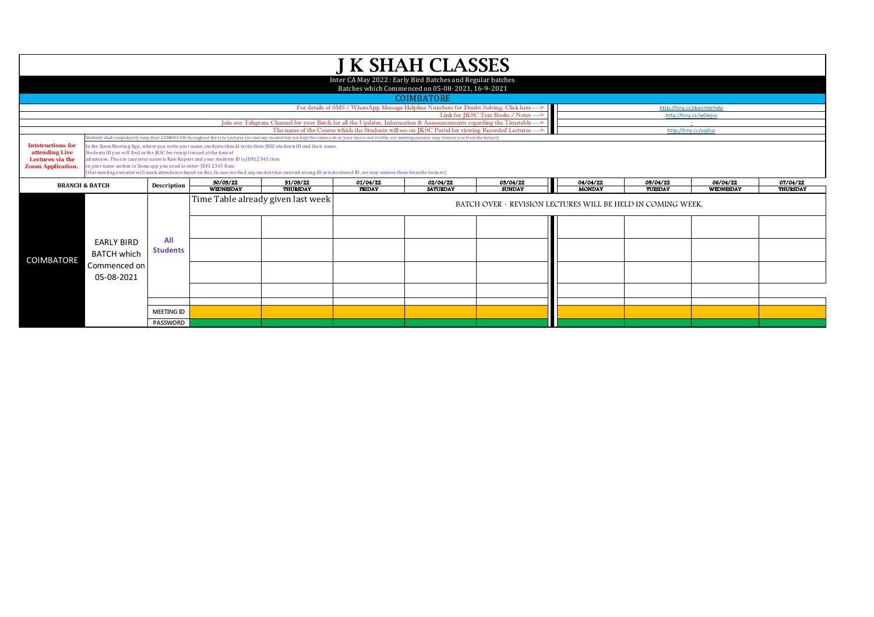| <b>J K SHAH CLASSES</b>                                                                                       |                                                                                                                                                                                          |                                                                                                                                                                                                                                                                                                                                                                                                                                                                                                                                                                                                                                                                                                                                                |                  |                                    |                                                                                                      |                 |                                                             |               |                             |           |          |  |  |
|---------------------------------------------------------------------------------------------------------------|------------------------------------------------------------------------------------------------------------------------------------------------------------------------------------------|------------------------------------------------------------------------------------------------------------------------------------------------------------------------------------------------------------------------------------------------------------------------------------------------------------------------------------------------------------------------------------------------------------------------------------------------------------------------------------------------------------------------------------------------------------------------------------------------------------------------------------------------------------------------------------------------------------------------------------------------|------------------|------------------------------------|------------------------------------------------------------------------------------------------------|-----------------|-------------------------------------------------------------|---------------|-----------------------------|-----------|----------|--|--|
| Inter CA May 2022: Early Bird Batches and Regular batches<br>Batches which Commenced on 05-08-2021, 16-9-2021 |                                                                                                                                                                                          |                                                                                                                                                                                                                                                                                                                                                                                                                                                                                                                                                                                                                                                                                                                                                |                  |                                    |                                                                                                      |                 |                                                             |               |                             |           |          |  |  |
| <b>COIMBATORE</b>                                                                                             |                                                                                                                                                                                          |                                                                                                                                                                                                                                                                                                                                                                                                                                                                                                                                                                                                                                                                                                                                                |                  |                                    |                                                                                                      |                 |                                                             |               |                             |           |          |  |  |
|                                                                                                               | For details of SMS / WhatsApp Message Helpline Numbers for Doubt Solving, Click here ---><br>http://tiny.cc/jkscinterhelp                                                                |                                                                                                                                                                                                                                                                                                                                                                                                                                                                                                                                                                                                                                                                                                                                                |                  |                                    |                                                                                                      |                 |                                                             |               |                             |           |          |  |  |
|                                                                                                               | Link for JKSC Text Books / Notes ---><br>http://tiny.cc/w0wjuz<br>Join our Telegram Channel for your Batch for all the Updates, Information & Announcements regarding the Timetable ---> |                                                                                                                                                                                                                                                                                                                                                                                                                                                                                                                                                                                                                                                                                                                                                |                  |                                    |                                                                                                      |                 |                                                             |               |                             |           |          |  |  |
|                                                                                                               |                                                                                                                                                                                          |                                                                                                                                                                                                                                                                                                                                                                                                                                                                                                                                                                                                                                                                                                                                                |                  |                                    | The name of the Course which the Students will see on JKSC Portal for viewing Recorded Lectures ---> |                 |                                                             |               | ÷.<br>http://tiny.cc/uqlluz |           |          |  |  |
|                                                                                                               |                                                                                                                                                                                          |                                                                                                                                                                                                                                                                                                                                                                                                                                                                                                                                                                                                                                                                                                                                                |                  |                                    |                                                                                                      |                 |                                                             |               |                             |           |          |  |  |
| <b>Intstructions for</b><br>attending Live<br>Lectures via the<br><b>Zoom Application.</b>                    |                                                                                                                                                                                          | tudents shall compulsorily keep their CAMERA ON throughout the Live Lectures (in case any student has not kept the camera on or your face is not visible, our meeting executor may remove you from the lecture)<br>In the Zoom Meeting App, where you write your name, students should write their JKSC students ID and their name.<br>Students ID you will find in the JKSC fee receipt issued at the time of<br>dmission. Thus in case your name is Ram Kapoor and your students ID is JDF12345 then<br>n your name section in Zoom app you need to enter-JDF12345 Ram<br>(Our meeting executor will mark attendance based on this. In case we find any student has entered wrong ID or not entered ID, we may remove them from the lecture) |                  |                                    |                                                                                                      |                 |                                                             |               |                             |           |          |  |  |
|                                                                                                               | <b>BRANCH &amp; BATCH</b>                                                                                                                                                                | Description                                                                                                                                                                                                                                                                                                                                                                                                                                                                                                                                                                                                                                                                                                                                    | 30/03/22         | 31/03/22                           | 01/04/22                                                                                             | 02/04/22        | 03/04/22                                                    | 04/04/22      | 05/04/22                    | 06/04/22  | 07/04/22 |  |  |
|                                                                                                               |                                                                                                                                                                                          |                                                                                                                                                                                                                                                                                                                                                                                                                                                                                                                                                                                                                                                                                                                                                | <b>WEDNESDAY</b> | <b>THURSDAY</b>                    | <b>FRIDAY</b>                                                                                        | <b>SATURDAY</b> | <b>SUNDAY</b>                                               | <b>MONDAY</b> | TUESDAY                     | WEDNESDAY | THURSDAY |  |  |
| <b>COIMBATORE</b>                                                                                             | <b>EARLY BIRD</b><br><b>BATCH which</b><br>Commenced on<br>05-08-2021                                                                                                                    | All<br><b>Students</b>                                                                                                                                                                                                                                                                                                                                                                                                                                                                                                                                                                                                                                                                                                                         |                  | Time Table already given last week |                                                                                                      |                 | BATCH OVER - REVISION LECTURES WILL BE HELD IN COMING WEEK. |               |                             |           |          |  |  |
|                                                                                                               |                                                                                                                                                                                          |                                                                                                                                                                                                                                                                                                                                                                                                                                                                                                                                                                                                                                                                                                                                                |                  |                                    |                                                                                                      |                 |                                                             |               |                             |           |          |  |  |
|                                                                                                               |                                                                                                                                                                                          | <b>MEETING ID</b>                                                                                                                                                                                                                                                                                                                                                                                                                                                                                                                                                                                                                                                                                                                              |                  |                                    |                                                                                                      |                 |                                                             |               |                             |           |          |  |  |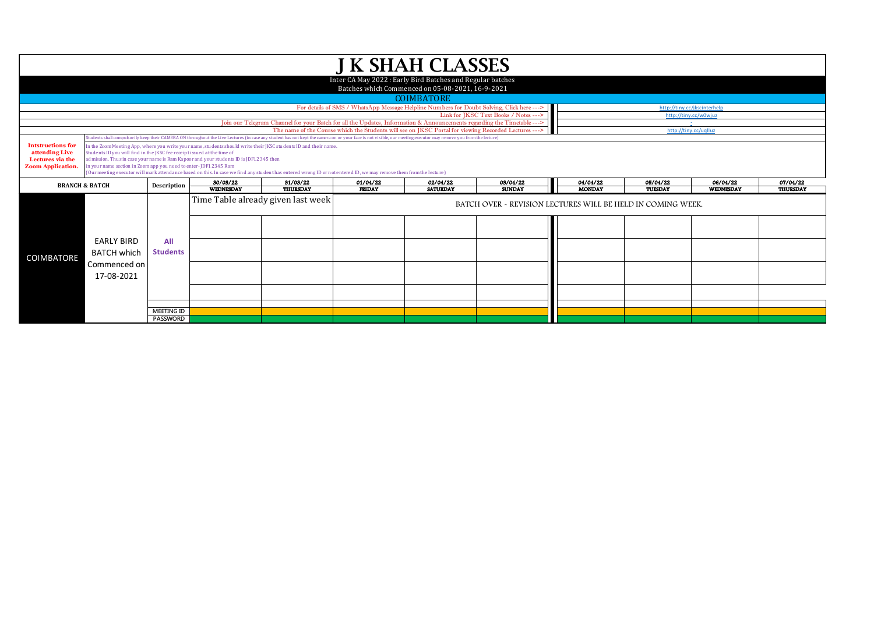| <b>J K SHAH CLASSES</b>                                                                                        |                                                                                                                                       |                                      |                                                                                       |                                                                                                                                                                                                                 |                                                                                                      |                 |                                                             |               |                       |           |                 |  |  |
|----------------------------------------------------------------------------------------------------------------|---------------------------------------------------------------------------------------------------------------------------------------|--------------------------------------|---------------------------------------------------------------------------------------|-----------------------------------------------------------------------------------------------------------------------------------------------------------------------------------------------------------------|------------------------------------------------------------------------------------------------------|-----------------|-------------------------------------------------------------|---------------|-----------------------|-----------|-----------------|--|--|
| Inter CA May 2022 : Early Bird Batches and Regular batches<br>Batches which Commenced on 05-08-2021, 16-9-2021 |                                                                                                                                       |                                      |                                                                                       |                                                                                                                                                                                                                 |                                                                                                      |                 |                                                             |               |                       |           |                 |  |  |
| <b>COIMBATORE</b>                                                                                              |                                                                                                                                       |                                      |                                                                                       |                                                                                                                                                                                                                 |                                                                                                      |                 |                                                             |               |                       |           |                 |  |  |
|                                                                                                                | For details of SMS / WhatsApp Message Helpline Numbers for Doubt Solving, Click here ---><br>http://tiny.cc/jkscinterhelp             |                                      |                                                                                       |                                                                                                                                                                                                                 |                                                                                                      |                 |                                                             |               |                       |           |                 |  |  |
|                                                                                                                |                                                                                                                                       |                                      |                                                                                       | Join our Telegram Channel for your Batch for all the Updates, Information & Announcements regarding the Timetable --->                                                                                          |                                                                                                      |                 | Link for IKSC Text Books / Notes --->                       |               | http://tinv.cc/w0wiuz |           |                 |  |  |
|                                                                                                                |                                                                                                                                       |                                      |                                                                                       |                                                                                                                                                                                                                 | The name of the Course which the Students will see on JKSC Portal for viewing Recorded Lectures ---- |                 |                                                             |               | http://tiny.cc/ualluz | $\pm$     |                 |  |  |
|                                                                                                                |                                                                                                                                       |                                      |                                                                                       | tudents shall compulsorily keep their CAMERA ON throughout the Live Lectures (in case any student has not kept the camera on or your face is not visible, our meeting executor may remove you from the lecture) |                                                                                                      |                 |                                                             |               |                       |           |                 |  |  |
| <b>Intstructions for</b>                                                                                       |                                                                                                                                       |                                      |                                                                                       | in the Zoom Meeting App, where you write your name, students should write their JKSC students ID and their name.                                                                                                |                                                                                                      |                 |                                                             |               |                       |           |                 |  |  |
| attending Live                                                                                                 | Students ID you will find in the JKSC fee receipt issued at the time of                                                               |                                      | admission. Thus in case your name is Ram Kapoor and your students ID is JDF12345 then |                                                                                                                                                                                                                 |                                                                                                      |                 |                                                             |               |                       |           |                 |  |  |
| Lectures via the<br><b>Zoom Application</b>                                                                    | n your name section in Zoom app you need to enter-JDF12345 Ram                                                                        |                                      |                                                                                       |                                                                                                                                                                                                                 |                                                                                                      |                 |                                                             |               |                       |           |                 |  |  |
|                                                                                                                |                                                                                                                                       |                                      |                                                                                       | (Our meeting executor will mark attendance based on this. In case we find any student has entered wrong ID or not entered ID, we may remove them from the lecture)                                              |                                                                                                      |                 |                                                             |               |                       |           |                 |  |  |
|                                                                                                                | 30/03/22<br>31/03/22<br>02/04/22<br>03/04/22<br>04/04/22<br>05/04/22<br>06/04/22<br>07/04/22<br>01/04/22<br><b>BRANCH &amp; BATCH</b> |                                      |                                                                                       |                                                                                                                                                                                                                 |                                                                                                      |                 |                                                             |               |                       |           |                 |  |  |
|                                                                                                                |                                                                                                                                       | Description                          |                                                                                       |                                                                                                                                                                                                                 |                                                                                                      |                 |                                                             |               |                       |           |                 |  |  |
|                                                                                                                |                                                                                                                                       |                                      | <b>WEDNESDAY</b>                                                                      | <b>THURSDAY</b>                                                                                                                                                                                                 | <b>FRIDAY</b>                                                                                        | <b>SATURDAY</b> | <b>SUNDAY</b>                                               | <b>MONDAY</b> | TUESDAY               | WEDNESDAY | <b>THURSDAY</b> |  |  |
|                                                                                                                |                                                                                                                                       |                                      |                                                                                       | Time Table already given last week                                                                                                                                                                              |                                                                                                      |                 |                                                             |               |                       |           |                 |  |  |
|                                                                                                                |                                                                                                                                       |                                      |                                                                                       |                                                                                                                                                                                                                 |                                                                                                      |                 | BATCH OVER - REVISION LECTURES WILL BE HELD IN COMING WEEK. |               |                       |           |                 |  |  |
|                                                                                                                |                                                                                                                                       |                                      |                                                                                       |                                                                                                                                                                                                                 |                                                                                                      |                 |                                                             |               |                       |           |                 |  |  |
|                                                                                                                |                                                                                                                                       |                                      |                                                                                       |                                                                                                                                                                                                                 |                                                                                                      |                 |                                                             |               |                       |           |                 |  |  |
|                                                                                                                | <b>EARLY BIRD</b>                                                                                                                     |                                      |                                                                                       |                                                                                                                                                                                                                 |                                                                                                      |                 |                                                             |               |                       |           |                 |  |  |
|                                                                                                                |                                                                                                                                       | All                                  |                                                                                       |                                                                                                                                                                                                                 |                                                                                                      |                 |                                                             |               |                       |           |                 |  |  |
| <b>COIMBATORE</b>                                                                                              | <b>BATCH which</b>                                                                                                                    | <b>Students</b>                      |                                                                                       |                                                                                                                                                                                                                 |                                                                                                      |                 |                                                             |               |                       |           |                 |  |  |
|                                                                                                                | Commenced on                                                                                                                          |                                      |                                                                                       |                                                                                                                                                                                                                 |                                                                                                      |                 |                                                             |               |                       |           |                 |  |  |
|                                                                                                                | 17-08-2021                                                                                                                            |                                      |                                                                                       |                                                                                                                                                                                                                 |                                                                                                      |                 |                                                             |               |                       |           |                 |  |  |
|                                                                                                                |                                                                                                                                       |                                      |                                                                                       |                                                                                                                                                                                                                 |                                                                                                      |                 |                                                             |               |                       |           |                 |  |  |
|                                                                                                                |                                                                                                                                       |                                      |                                                                                       |                                                                                                                                                                                                                 |                                                                                                      |                 |                                                             |               |                       |           |                 |  |  |
|                                                                                                                |                                                                                                                                       |                                      |                                                                                       |                                                                                                                                                                                                                 |                                                                                                      |                 |                                                             |               |                       |           |                 |  |  |
|                                                                                                                |                                                                                                                                       | <b>MEETING ID</b><br><b>PASSWORD</b> |                                                                                       |                                                                                                                                                                                                                 |                                                                                                      |                 |                                                             |               |                       |           |                 |  |  |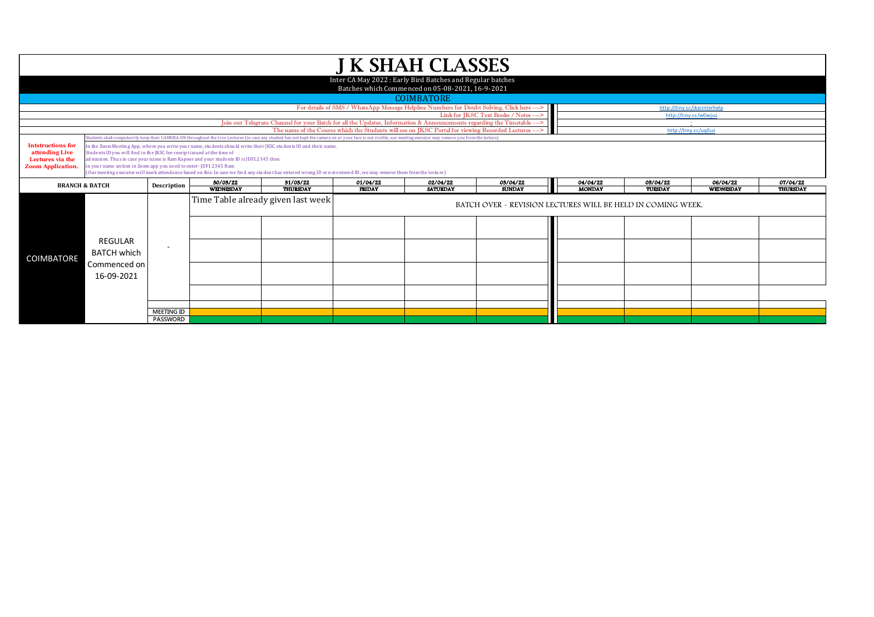| <b>J K SHAH CLASSES</b>                                                                                                   |                               |                                                                                                                                                                                                                                                                                                                                                                                                                                                                                                                                                                                                                                                                                                                                               |                  |                                                                                                                        |                                                                                                       |                 |                                                             |               |                       |           |          |  |  |
|---------------------------------------------------------------------------------------------------------------------------|-------------------------------|-----------------------------------------------------------------------------------------------------------------------------------------------------------------------------------------------------------------------------------------------------------------------------------------------------------------------------------------------------------------------------------------------------------------------------------------------------------------------------------------------------------------------------------------------------------------------------------------------------------------------------------------------------------------------------------------------------------------------------------------------|------------------|------------------------------------------------------------------------------------------------------------------------|-------------------------------------------------------------------------------------------------------|-----------------|-------------------------------------------------------------|---------------|-----------------------|-----------|----------|--|--|
| Inter CA May 2022: Early Bird Batches and Regular batches<br>Batches which Commenced on 05-08-2021, 16-9-2021             |                               |                                                                                                                                                                                                                                                                                                                                                                                                                                                                                                                                                                                                                                                                                                                                               |                  |                                                                                                                        |                                                                                                       |                 |                                                             |               |                       |           |          |  |  |
| <b>COIMBATORE</b>                                                                                                         |                               |                                                                                                                                                                                                                                                                                                                                                                                                                                                                                                                                                                                                                                                                                                                                               |                  |                                                                                                                        |                                                                                                       |                 |                                                             |               |                       |           |          |  |  |
| For details of SMS / WhatsApp Message Helpline Numbers for Doubt Solving, Click here ---><br>http://tiny.cc/jkscinterhelp |                               |                                                                                                                                                                                                                                                                                                                                                                                                                                                                                                                                                                                                                                                                                                                                               |                  |                                                                                                                        |                                                                                                       |                 |                                                             |               |                       |           |          |  |  |
|                                                                                                                           |                               |                                                                                                                                                                                                                                                                                                                                                                                                                                                                                                                                                                                                                                                                                                                                               |                  |                                                                                                                        |                                                                                                       |                 | Link for JKSC Text Books / Notes --->                       |               | http://tiny.cc/w0wjuz |           |          |  |  |
|                                                                                                                           |                               |                                                                                                                                                                                                                                                                                                                                                                                                                                                                                                                                                                                                                                                                                                                                               |                  | Join our Telegram Channel for your Batch for all the Updates, Information & Announcements regarding the Timetable ---> |                                                                                                       |                 |                                                             |               |                       |           |          |  |  |
|                                                                                                                           |                               |                                                                                                                                                                                                                                                                                                                                                                                                                                                                                                                                                                                                                                                                                                                                               |                  |                                                                                                                        | The name of the Course which the Students will see on JKSC Portal for viewing Recorded Lectures --- > |                 |                                                             |               | http://tiny.cc/uallua |           |          |  |  |
| <b>Intstructions for</b><br>attending Live<br>Lectures via the<br><b>Zoom Application</b>                                 |                               | udents shall compulsorily keep their CAMERA ON throughout the Live Lectures (in case any student has not kept the camera on or your face is not yisible, our meeting executor may remove you from the lecture)<br>n the Zoom Meeting App, where you write your name, students should write their JKSC students ID and their name.<br>Students ID you will find in the JKSC fee receipt issued at the time of<br>admission. Thus in case your name is Ram Kapoor and your students ID is JDF12345 then<br>n your name section in Zoom app you need to enter-JDF12345 Ram<br>(Our meeting executor will mark attendance based on this. In case we find any student has entered wrong ID or not entered ID, we may remove them from the lecture) |                  |                                                                                                                        |                                                                                                       |                 |                                                             |               |                       |           |          |  |  |
|                                                                                                                           | <b>BRANCH &amp; BATCH</b>     | Description                                                                                                                                                                                                                                                                                                                                                                                                                                                                                                                                                                                                                                                                                                                                   | 30/03/22         | 31/03/22                                                                                                               | 01/04/22                                                                                              | 02/04/22        | 03/04/22                                                    | 04/04/22      | 05/04/22              | 06/04/22  | 07/04/22 |  |  |
|                                                                                                                           |                               |                                                                                                                                                                                                                                                                                                                                                                                                                                                                                                                                                                                                                                                                                                                                               | <b>WEDNESDAY</b> | <b>THURSDAY</b>                                                                                                        | <b>FRIDAY</b>                                                                                         | <b>SATURDAY</b> | <b>SUNDAY</b>                                               | <b>MONDAY</b> | TUESDAY               | WEDNESDAY | THURSDAY |  |  |
|                                                                                                                           |                               |                                                                                                                                                                                                                                                                                                                                                                                                                                                                                                                                                                                                                                                                                                                                               |                  |                                                                                                                        |                                                                                                       |                 |                                                             |               |                       |           |          |  |  |
|                                                                                                                           |                               |                                                                                                                                                                                                                                                                                                                                                                                                                                                                                                                                                                                                                                                                                                                                               |                  | Time Table already given last week                                                                                     |                                                                                                       |                 | BATCH OVER - REVISION LECTURES WILL BE HELD IN COMING WEEK. |               |                       |           |          |  |  |
|                                                                                                                           |                               |                                                                                                                                                                                                                                                                                                                                                                                                                                                                                                                                                                                                                                                                                                                                               |                  |                                                                                                                        |                                                                                                       |                 |                                                             |               |                       |           |          |  |  |
| <b>COIMBATORE</b>                                                                                                         | REGULAR<br><b>BATCH which</b> |                                                                                                                                                                                                                                                                                                                                                                                                                                                                                                                                                                                                                                                                                                                                               |                  |                                                                                                                        |                                                                                                       |                 |                                                             |               |                       |           |          |  |  |
|                                                                                                                           | Commenced on<br>16-09-2021    |                                                                                                                                                                                                                                                                                                                                                                                                                                                                                                                                                                                                                                                                                                                                               |                  |                                                                                                                        |                                                                                                       |                 |                                                             |               |                       |           |          |  |  |
|                                                                                                                           |                               |                                                                                                                                                                                                                                                                                                                                                                                                                                                                                                                                                                                                                                                                                                                                               |                  |                                                                                                                        |                                                                                                       |                 |                                                             |               |                       |           |          |  |  |
|                                                                                                                           |                               |                                                                                                                                                                                                                                                                                                                                                                                                                                                                                                                                                                                                                                                                                                                                               |                  |                                                                                                                        |                                                                                                       |                 |                                                             |               |                       |           |          |  |  |
|                                                                                                                           |                               | <b>MEETING ID</b><br><b>PASSWORD</b>                                                                                                                                                                                                                                                                                                                                                                                                                                                                                                                                                                                                                                                                                                          |                  |                                                                                                                        |                                                                                                       |                 |                                                             |               |                       |           |          |  |  |